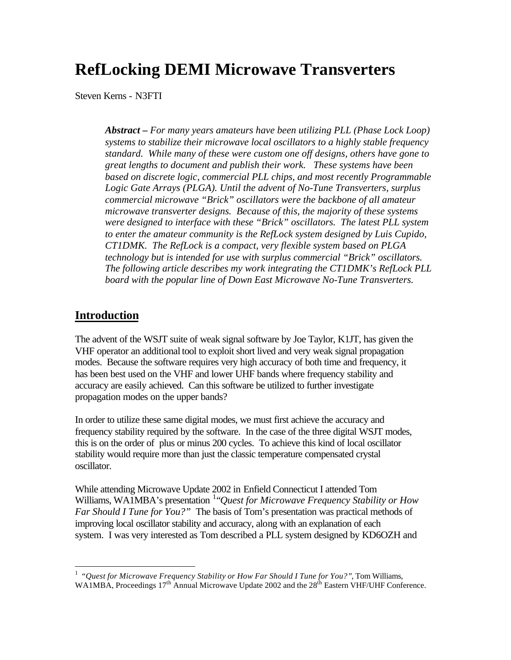## **RefLocking DEMI Microwave Transverters**

Steven Kerns - N3FTI

*Abstract – For many years amateurs have been utilizing PLL (Phase Lock Loop) systems to stabilize their microwave local oscillators to a highly stable frequency standard. While many of these were custom one off designs, others have gone to great lengths to document and publish their work. These systems have been based on discrete logic, commercial PLL chips, and most recently Programmable Logic Gate Arrays (PLGA). Until the advent of No-Tune Transverters, surplus commercial microwave "Brick" oscillators were the backbone of all amateur microwave transverter designs. Because of this, the majority of these systems were designed to interface with these "Brick" oscillators. The latest PLL system to enter the amateur community is the RefLock system designed by Luis Cupido, CT1DMK. The RefLock is a compact, very flexible system based on PLGA technology but is intended for use with surplus commercial "Brick" oscillators. The following article describes my work integrating the CT1DMK's RefLock PLL board with the popular line of Down East Microwave No-Tune Transverters.* 

#### **Introduction**

 $\overline{a}$ 

The advent of the WSJT suite of weak signal software by Joe Taylor, K1JT, has given the VHF operator an additional tool to exploit short lived and very weak signal propagation modes. Because the software requires very high accuracy of both time and frequency, it has been best used on the VHF and lower UHF bands where frequency stability and accuracy are easily achieved. Can this software be utilized to further investigate propagation modes on the upper bands?

In order to utilize these same digital modes, we must first achieve the accuracy and frequency stability required by the software. In the case of the three digital WSJT modes, this is on the order of plus or minus 200 cycles. To achieve this kind of local oscillator stability would require more than just the classic temperature compensated crystal oscillator.

While attending Microwave Update 2002 in Enfield Connecticut I attended Tom Williams, WA1MBA's presentation <sup>1</sup> "*Quest for Microwave Frequency Stability or How Far Should I Tune for You?"* The basis of Tom's presentation was practical methods of improving local oscillator stability and accuracy, along with an explanation of each system. I was very interested as Tom described a PLL system designed by KD6OZH and

<sup>&</sup>lt;sup>1</sup> "Quest for Microwave Frequency Stability or How Far Should I Tune for You?", Tom Williams, WA1MBA, Proceedings 17<sup>th</sup> Annual Microwave Update 2002 and the 28<sup>th</sup> Eastern VHF/UHF Conference.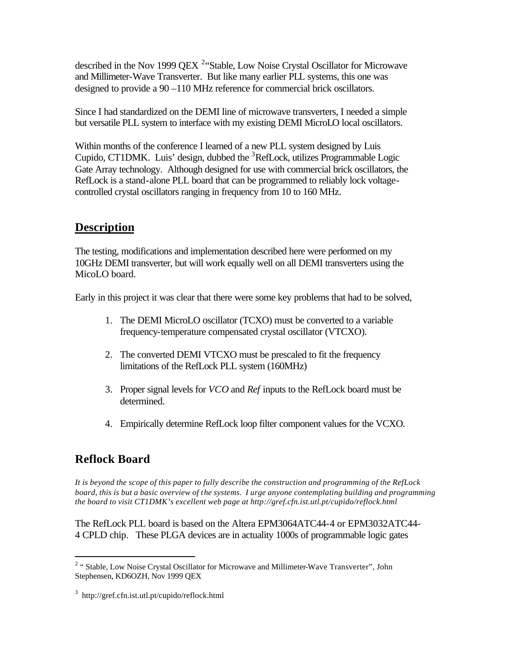described in the Nov 1999 QEX  $2$ <sup>2</sup> Stable, Low Noise Crystal Oscillator for Microwave and Millimeter-Wave Transverter. But like many earlier PLL systems, this one was designed to provide a 90 –110 MHz reference for commercial brick oscillators.

Since I had standardized on the DEMI line of microwave transverters, I needed a simple but versatile PLL system to interface with my existing DEMI MicroLO local oscillators.

Within months of the conference I learned of a new PLL system designed by Luis Cupido, CT1DMK. Luis' design, dubbed the  ${}^{3}$ RefLock, utilizes Programmable Logic Gate Array technology. Although designed for use with commercial brick oscillators, the RefLock is a stand-alone PLL board that can be programmed to reliably lock voltagecontrolled crystal oscillators ranging in frequency from 10 to 160 MHz.

#### **Description**

The testing, modifications and implementation described here were performed on my 10GHz DEMI transverter, but will work equally well on all DEMI transverters using the MicoLO board.

Early in this project it was clear that there were some key problems that had to be solved,

- 1. The DEMI MicroLO oscillator (TCXO) must be converted to a variable frequency-temperature compensated crystal oscillator (VTCXO).
- 2. The converted DEMI VTCXO must be prescaled to fit the frequency limitations of the RefLock PLL system (160MHz)
- 3. Proper signal levels for *VCO* and *Ref* inputs to the RefLock board must be determined.
- 4. Empirically determine RefLock loop filter component values for the VCXO.

#### **Reflock Board**

 $\overline{a}$ 

*It is beyond the scope of this paper to fully describe the construction and programming of the RefLock board, this is but a basic overview of the systems. I urge anyone contemplating building and programming the board to visit CT1DMK's excellent web page at http://gref.cfn.ist.utl.pt/cupido/reflock.html* 

The RefLock PLL board is based on the Altera EPM3064ATC44-4 or EPM3032ATC44- 4 CPLD chip. These PLGA devices are in actuality 1000s of programmable logic gates

<sup>&</sup>lt;sup>2</sup> "Stable, Low Noise Crystal Oscillator for Microwave and Millimeter-Wave Transverter", John Stephensen, KD6OZH, Nov 1999 QEX

<sup>3</sup> http://gref.cfn.ist.utl.pt/cupido/reflock.html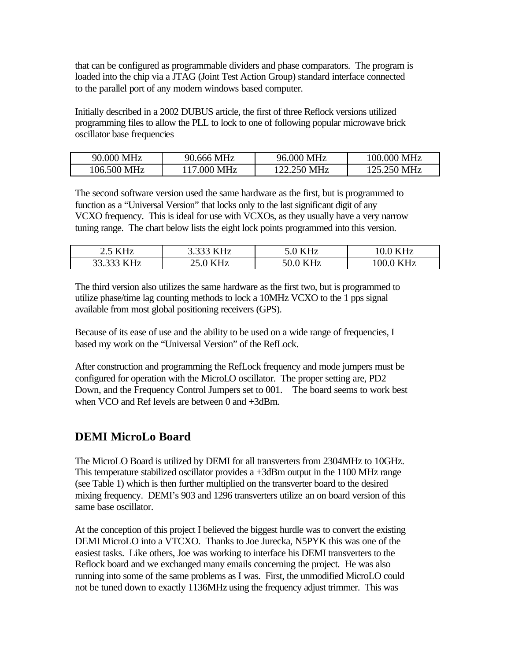that can be configured as programmable dividers and phase comparators. The program is loaded into the chip via a JTAG (Joint Test Action Group) standard interface connected to the parallel port of any modern windows based computer.

Initially described in a 2002 DUBUS article, the first of three Reflock versions utilized programming files to allow the PLL to lock to one of following popular microwave brick oscillator base frequencies

| 90.000 MHz  | 90.666 MHz  | 96.000 MHz  | 100.000 MHz |
|-------------|-------------|-------------|-------------|
| 106.500 MHz | 117.000 MHz | 122.250 MHz | 125.250 MHz |

The second software version used the same hardware as the first, but is programmed to function as a "Universal Version" that locks only to the last significant digit of any VCXO frequency. This is ideal for use with VCXOs, as they usually have a very narrow tuning range. The chart below lists the eight lock points programmed into this version.

| 5 KHZ                          | J.JJJ                                                              | . н~                        | <b>KHz</b>          |
|--------------------------------|--------------------------------------------------------------------|-----------------------------|---------------------|
| ر. ک                           | 111 I L                                                            | 17117                       |                     |
| 22.222<br><i>VU-</i><br>33.333 | ---<br>$\overline{\phantom{a}}\overline{\phantom{a}}\!\phantom{a}$ | -9<br>JU.U<br>111 <i>12</i> | <b>KHz</b><br>100.0 |

The third version also utilizes the same hardware as the first two, but is programmed to utilize phase/time lag counting methods to lock a 10MHz VCXO to the 1 pps signal available from most global positioning receivers (GPS).

Because of its ease of use and the ability to be used on a wide range of frequencies, I based my work on the "Universal Version" of the RefLock.

After construction and programming the RefLock frequency and mode jumpers must be configured for operation with the MicroLO oscillator. The proper setting are, PD2 Down, and the Frequency Control Jumpers set to 001. The board seems to work best when VCO and Ref levels are between 0 and +3dBm.

#### **DEMI MicroLo Board**

The MicroLO Board is utilized by DEMI for all transverters from 2304MHz to 10GHz. This temperature stabilized oscillator provides a +3dBm output in the 1100 MHz range (see Table 1) which is then further multiplied on the transverter board to the desired mixing frequency. DEMI's 903 and 1296 transverters utilize an on board version of this same base oscillator.

At the conception of this project I believed the biggest hurdle was to convert the existing DEMI MicroLO into a VTCXO. Thanks to Joe Jurecka, N5PYK this was one of the easiest tasks. Like others, Joe was working to interface his DEMI transverters to the Reflock board and we exchanged many emails concerning the project. He was also running into some of the same problems as I was. First, the unmodified MicroLO could not be tuned down to exactly 1136MHz using the frequency adjust trimmer. This was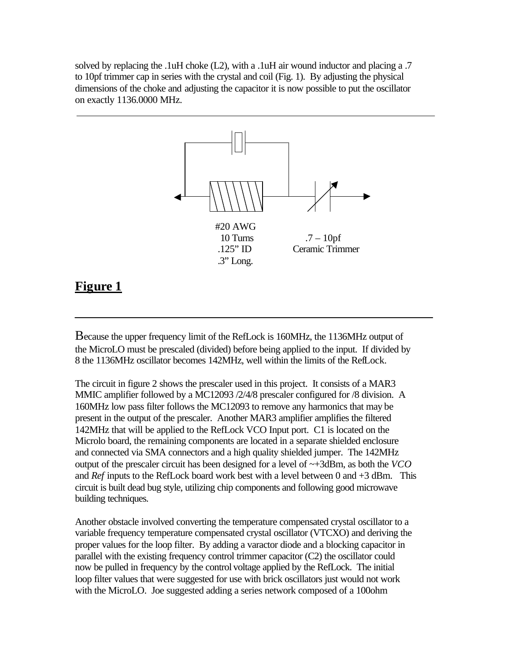solved by replacing the .1uH choke  $(L2)$ , with a .1uH air wound inductor and placing a .7 to 10pf trimmer cap in series with the crystal and coil (Fig. 1). By adjusting the physical dimensions of the choke and adjusting the capacitor it is now possible to put the oscillator on exactly 1136.0000 MHz.



#### **Figure 1**

Because the upper frequency limit of the RefLock is 160MHz, the 1136MHz output of the MicroLO must be prescaled (divided) before being applied to the input. If divided by 8 the 1136MHz oscillator becomes 142MHz, well within the limits of the RefLock.

The circuit in figure 2 shows the prescaler used in this project. It consists of a MAR3 MMIC amplifier followed by a MC12093 /2/4/8 prescaler configured for /8 division. A 160MHz low pass filter follows the MC12093 to remove any harmonics that may be present in the output of the prescaler. Another MAR3 amplifier amplifies the filtered 142MHz that will be applied to the RefLock VCO Input port. C1 is located on the Microlo board, the remaining components are located in a separate shielded enclosure and connected via SMA connectors and a high quality shielded jumper. The 142MHz output of the prescaler circuit has been designed for a level of ~+3dBm, as both the *VCO* and *Ref* inputs to the RefLock board work best with a level between 0 and +3 dBm. This circuit is built dead bug style, utilizing chip components and following good microwave building techniques.

Another obstacle involved converting the temperature compensated crystal oscillator to a variable frequency temperature compensated crystal oscillator (VTCXO) and deriving the proper values for the loop filter. By adding a varactor diode and a blocking capacitor in parallel with the existing frequency control trimmer capacitor (C2) the oscillator could now be pulled in frequency by the control voltage applied by the RefLock. The initial loop filter values that were suggested for use with brick oscillators just would not work with the MicroLO. Joe suggested adding a series network composed of a 100ohm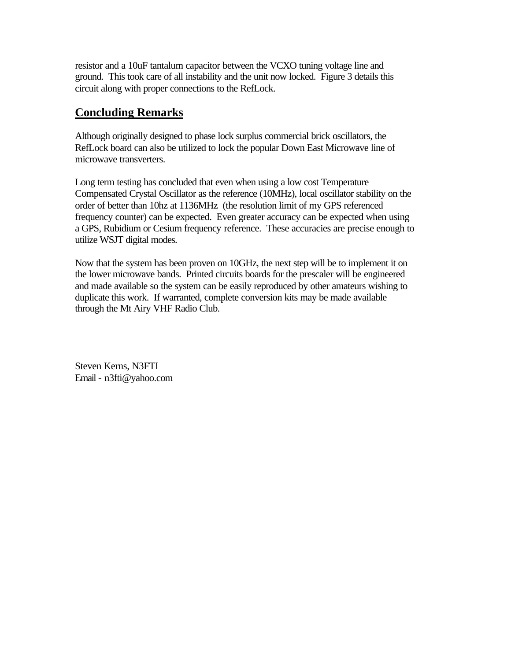resistor and a 10uF tantalum capacitor between the VCXO tuning voltage line and ground. This took care of all instability and the unit now locked. Figure 3 details this circuit along with proper connections to the RefLock.

#### **Concluding Remarks**

Although originally designed to phase lock surplus commercial brick oscillators, the RefLock board can also be utilized to lock the popular Down East Microwave line of microwave transverters.

Long term testing has concluded that even when using a low cost Temperature Compensated Crystal Oscillator as the reference (10MHz), local oscillator stability on the order of better than 10hz at 1136MHz (the resolution limit of my GPS referenced frequency counter) can be expected. Even greater accuracy can be expected when using a GPS, Rubidium or Cesium frequency reference. These accuracies are precise enough to utilize WSJT digital modes.

Now that the system has been proven on 10GHz, the next step will be to implement it on the lower microwave bands. Printed circuits boards for the prescaler will be engineered and made available so the system can be easily reproduced by other amateurs wishing to duplicate this work. If warranted, complete conversion kits may be made available through the Mt Airy VHF Radio Club.

Steven Kerns, N3FTI Email - n3fti@yahoo.com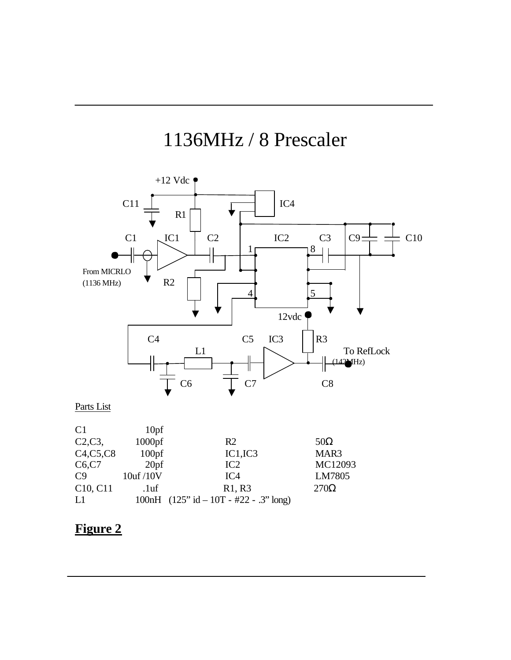# 1136MHz / 8 Prescaler



| C2, C3,                           | $1000$ pf         | R <sub>2</sub>                            | $50\Omega$  |
|-----------------------------------|-------------------|-------------------------------------------|-------------|
| C4, C5, C8                        | 100 <sub>pf</sub> | IC1, IC3                                  | MAR3        |
| C6, C7                            | 20 <sub>pf</sub>  | IC2                                       | MC12093     |
| C9                                | 10uf /10V         | IC <sub>4</sub>                           | LM7805      |
| C <sub>10</sub> , C <sub>11</sub> | .1 <sub>uf</sub>  | R <sub>1</sub> , R <sub>3</sub>           | $270\Omega$ |
| L1                                |                   | 100nH $(125"$ id $-10T - #22 - .3"$ long) |             |

## **Figure 2**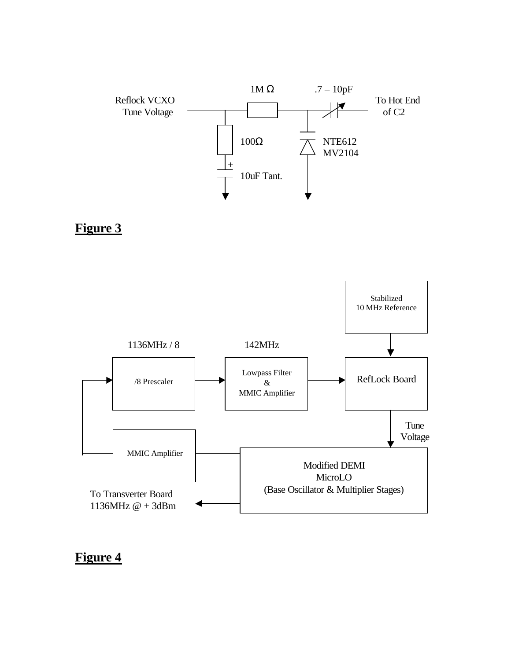





### **Figure 4**